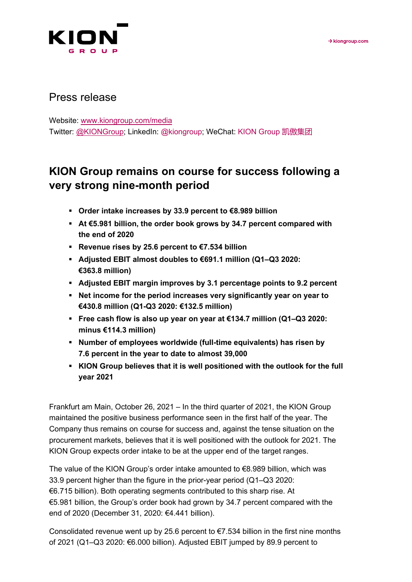

## Press release

Website: [www.kiongroup.com/media](https://eur02.safelinks.protection.outlook.com/?url=http%3A%2F%2Fwww.kiongroup.com%2Fmedien&data=02%7C01%7CRene.Glock%40kiongroup.com%7C5e5bca3a3f334aa363bd08d6ef4156b0%7C13c728e0bb0c4cf78e105b327279d6d9%7C0%7C0%7C636959461240940155&sdata=E%2F7x0JVsCnlmN%2FwK6dD47zlcjp5ATtEt%2Bc3xaggKZaI%3D&reserved=0) Twitter: [@KIONGroup;](https://twitter.com/kion_group) LinkedIn: @kiongroup; WeChat: KION Group 凯傲集团

# **KION Group remains on course for success following a very strong nine-month period**

- **Order intake increases by 33.9 percent to €8.989 billion**
- **At €5.981 billion, the order book grows by 34.7 percent compared with the end of 2020**
- **Revenue rises by 25.6 percent to €7.534 billion**
- **Adjusted EBIT almost doubles to €691.1 million (Q1–Q3 2020: €363.8 million)**
- **Adjusted EBIT margin improves by 3.1 percentage points to 9.2 percent**
- **Net income for the period increases very significantly year on year to €430.8 million (Q1-Q3 2020: €132.5 million)**
- **Free cash flow is also up year on year at €134.7 million (Q1–Q3 2020: minus €114.3 million)**
- **Number of employees worldwide (full-time equivalents) has risen by 7.6 percent in the year to date to almost 39,000**
- **KION Group believes that it is well positioned with the outlook for the full year 2021**

Frankfurt am Main, October 26, 2021 – In the third quarter of 2021, the KION Group maintained the positive business performance seen in the first half of the year. The Company thus remains on course for success and, against the tense situation on the procurement markets, believes that it is well positioned with the outlook for 2021. The KION Group expects order intake to be at the upper end of the target ranges.

The value of the KION Group's order intake amounted to €8.989 billion, which was 33.9 percent higher than the figure in the prior-year period (Q1–Q3 2020: €6.715 billion). Both operating segments contributed to this sharp rise. At €5.981 billion, the Group's order book had grown by 34.7 percent compared with the end of 2020 (December 31, 2020: €4.441 billion).

Consolidated revenue went up by 25.6 percent to  $\epsilon$ 7.534 billion in the first nine months of 2021 (Q1–Q3 2020: €6.000 billion). Adjusted EBIT jumped by 89.9 percent to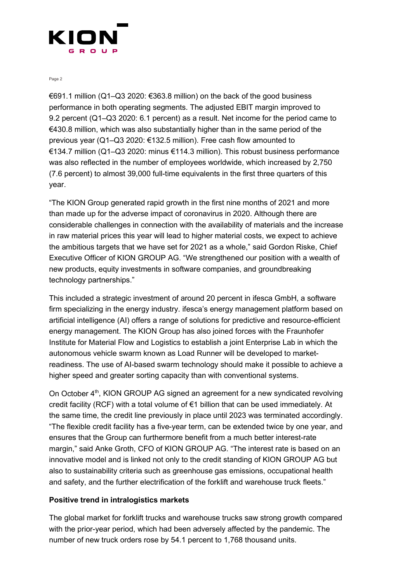

€691.1 million (Q1–Q3 2020: €363.8 million) on the back of the good business performance in both operating segments. The adjusted EBIT margin improved to 9.2 percent (Q1–Q3 2020: 6.1 percent) as a result. Net income for the period came to €430.8 million, which was also substantially higher than in the same period of the previous year (Q1–Q3 2020: €132.5 million). Free cash flow amounted to €134.7 million (Q1–Q3 2020: minus €114.3 million). This robust business performance was also reflected in the number of employees worldwide, which increased by 2,750 (7.6 percent) to almost 39,000 full-time equivalents in the first three quarters of this year.

"The KION Group generated rapid growth in the first nine months of 2021 and more than made up for the adverse impact of coronavirus in 2020. Although there are considerable challenges in connection with the availability of materials and the increase in raw material prices this year will lead to higher material costs, we expect to achieve the ambitious targets that we have set for 2021 as a whole," said Gordon Riske, Chief Executive Officer of KION GROUP AG. "We strengthened our position with a wealth of new products, equity investments in software companies, and groundbreaking technology partnerships."

This included a strategic investment of around 20 percent in ifesca GmbH, a software firm specializing in the energy industry. ifesca's energy management platform based on artificial intelligence (AI) offers a range of solutions for predictive and resource-efficient energy management. The KION Group has also joined forces with the Fraunhofer Institute for Material Flow and Logistics to establish a joint Enterprise Lab in which the autonomous vehicle swarm known as Load Runner will be developed to marketreadiness. The use of AI-based swarm technology should make it possible to achieve a higher speed and greater sorting capacity than with conventional systems.

On October 4<sup>th</sup>, KION GROUP AG signed an agreement for a new syndicated revolving credit facility (RCF) with a total volume of €1 billion that can be used immediately. At the same time, the credit line previously in place until 2023 was terminated accordingly. "The flexible credit facility has a five-year term, can be extended twice by one year, and ensures that the Group can furthermore benefit from a much better interest-rate margin," said Anke Groth, CFO of KION GROUP AG. "The interest rate is based on an innovative model and is linked not only to the credit standing of KION GROUP AG but also to sustainability criteria such as greenhouse gas emissions, occupational health and safety, and the further electrification of the forklift and warehouse truck fleets."

#### **Positive trend in intralogistics markets**

The global market for forklift trucks and warehouse trucks saw strong growth compared with the prior-year period, which had been adversely affected by the pandemic. The number of new truck orders rose by 54.1 percent to 1,768 thousand units.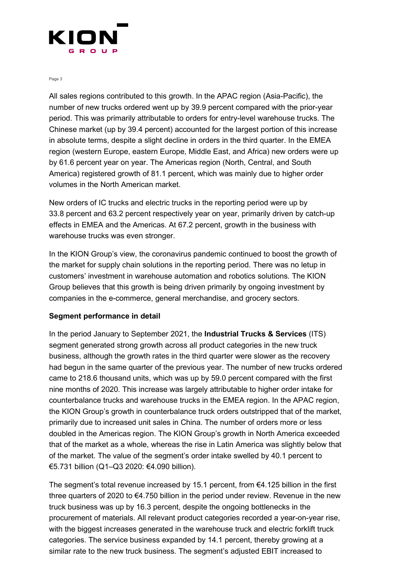

All sales regions contributed to this growth. In the APAC region (Asia-Pacific), the number of new trucks ordered went up by 39.9 percent compared with the prior-year period. This was primarily attributable to orders for entry-level warehouse trucks. The Chinese market (up by 39.4 percent) accounted for the largest portion of this increase in absolute terms, despite a slight decline in orders in the third quarter. In the EMEA region (western Europe, eastern Europe, Middle East, and Africa) new orders were up by 61.6 percent year on year. The Americas region (North, Central, and South America) registered growth of 81.1 percent, which was mainly due to higher order volumes in the North American market.

New orders of IC trucks and electric trucks in the reporting period were up by 33.8 percent and 63.2 percent respectively year on year, primarily driven by catch-up effects in EMEA and the Americas. At 67.2 percent, growth in the business with warehouse trucks was even stronger.

In the KION Group's view, the coronavirus pandemic continued to boost the growth of the market for supply chain solutions in the reporting period. There was no letup in customers' investment in warehouse automation and robotics solutions. The KION Group believes that this growth is being driven primarily by ongoing investment by companies in the e-commerce, general merchandise, and grocery sectors.

#### **Segment performance in detail**

In the period January to September 2021, the **Industrial Trucks & Services** (ITS) segment generated strong growth across all product categories in the new truck business, although the growth rates in the third quarter were slower as the recovery had begun in the same quarter of the previous year. The number of new trucks ordered came to 218.6 thousand units, which was up by 59.0 percent compared with the first nine months of 2020. This increase was largely attributable to higher order intake for counterbalance trucks and warehouse trucks in the EMEA region. In the APAC region, the KION Group's growth in counterbalance truck orders outstripped that of the market, primarily due to increased unit sales in China. The number of orders more or less doubled in the Americas region. The KION Group's growth in North America exceeded that of the market as a whole, whereas the rise in Latin America was slightly below that of the market. The value of the segment's order intake swelled by 40.1 percent to €5.731 billion (Q1–Q3 2020: €4.090 billion).

The segment's total revenue increased by 15.1 percent, from  $\epsilon$ 4.125 billion in the first three quarters of 2020 to €4.750 billion in the period under review. Revenue in the new truck business was up by 16.3 percent, despite the ongoing bottlenecks in the procurement of materials. All relevant product categories recorded a year-on-year rise, with the biggest increases generated in the warehouse truck and electric forklift truck categories. The service business expanded by 14.1 percent, thereby growing at a similar rate to the new truck business. The segment's adjusted EBIT increased to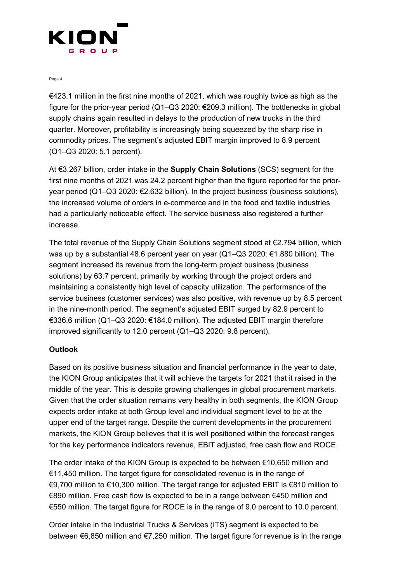

€423.1 million in the first nine months of 2021, which was roughly twice as high as the figure for the prior-year period (Q1–Q3 2020: €209.3 million). The bottlenecks in global supply chains again resulted in delays to the production of new trucks in the third quarter. Moreover, profitability is increasingly being squeezed by the sharp rise in commodity prices. The segment's adjusted EBIT margin improved to 8.9 percent (Q1–Q3 2020: 5.1 percent).

At €3.267 billion, order intake in the **Supply Chain Solutions** (SCS) segment for the first nine months of 2021 was 24.2 percent higher than the figure reported for the prioryear period (Q1–Q3 2020: €2.632 billion). In the project business (business solutions), the increased volume of orders in e-commerce and in the food and textile industries had a particularly noticeable effect. The service business also registered a further increase.

The total revenue of the Supply Chain Solutions segment stood at  $E$ 2.794 billion, which was up by a substantial 48.6 percent year on year (Q1–Q3 2020: €1.880 billion). The segment increased its revenue from the long-term project business (business solutions) by 63.7 percent, primarily by working through the project orders and maintaining a consistently high level of capacity utilization. The performance of the service business (customer services) was also positive, with revenue up by 8.5 percent in the nine-month period. The segment's adjusted EBIT surged by 82.9 percent to €336.6 million (Q1–Q3 2020: €184.0 million). The adjusted EBIT margin therefore improved significantly to 12.0 percent (Q1–Q3 2020: 9.8 percent).

### **Outlook**

Based on its positive business situation and financial performance in the year to date, the KION Group anticipates that it will achieve the targets for 2021 that it raised in the middle of the year. This is despite growing challenges in global procurement markets. Given that the order situation remains very healthy in both segments, the KION Group expects order intake at both Group level and individual segment level to be at the upper end of the target range. Despite the current developments in the procurement markets, the KION Group believes that it is well positioned within the forecast ranges for the key performance indicators revenue, EBIT adjusted, free cash flow and ROCE.

The order intake of the KION Group is expected to be between €10,650 million and €11,450 million. The target figure for consolidated revenue is in the range of €9,700 million to €10,300 million. The target range for adjusted EBIT is €810 million to €890 million. Free cash flow is expected to be in a range between €450 million and €550 million. The target figure for ROCE is in the range of 9.0 percent to 10.0 percent.

Order intake in the Industrial Trucks & Services (ITS) segment is expected to be between €6,850 million and €7,250 million. The target figure for revenue is in the range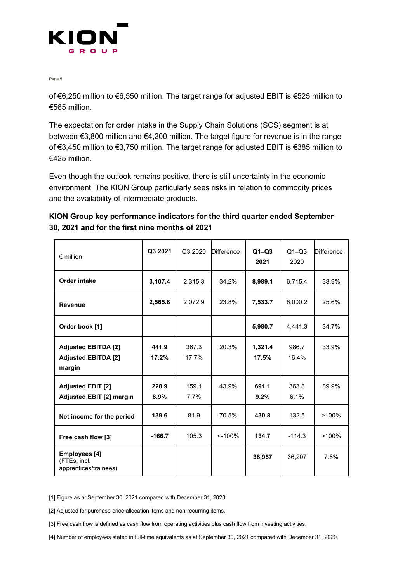

of €6,250 million to €6,550 million. The target range for adjusted EBIT is €525 million to €565 million.

The expectation for order intake in the Supply Chain Solutions (SCS) segment is at between €3,800 million and €4,200 million. The target figure for revenue is in the range of €3,450 million to €3,750 million. The target range for adjusted EBIT is €385 million to €425 million.

Even though the outlook remains positive, there is still uncertainty in the economic environment. The KION Group particularly sees risks in relation to commodity prices and the availability of intermediate products.

| KION Group key performance indicators for the third quarter ended September |
|-----------------------------------------------------------------------------|
| 30, 2021 and for the first nine months of 2021                              |

| $\epsilon$ million                                                 | Q3 2021        | Q3 2020        | <b>Difference</b> | $Q1 - Q3$<br>2021 | $Q1 - Q3$<br>2020 | <b>Difference</b> |
|--------------------------------------------------------------------|----------------|----------------|-------------------|-------------------|-------------------|-------------------|
| <b>Order intake</b>                                                | 3,107.4        | 2,315.3        | 34.2%             | 8,989.1           | 6,715.4           | 33.9%             |
| <b>Revenue</b>                                                     | 2,565.8        | 2,072.9        | 23.8%             | 7,533.7           | 6,000.2           | 25.6%             |
| Order book [1]                                                     |                |                |                   | 5,980.7           | 4,441.3           | 34.7%             |
| <b>Adjusted EBITDA [2]</b><br><b>Adjusted EBITDA [2]</b><br>margin | 441.9<br>17.2% | 367.3<br>17.7% | 20.3%             | 1,321.4<br>17.5%  | 986.7<br>16.4%    | 33.9%             |
| <b>Adjusted EBIT [2]</b><br><b>Adjusted EBIT [2] margin</b>        | 228.9<br>8.9%  | 159.1<br>7.7%  | 43.9%             | 691.1<br>9.2%     | 363.8<br>6.1%     | 89.9%             |
| Net income for the period                                          | 139.6          | 81.9           | 70.5%             | 430.8             | 132.5             | $>100\%$          |
| Free cash flow [3]                                                 | $-166.7$       | 105.3          | < 100%            | 134.7             | $-114.3$          | $>100\%$          |
| <b>Employees</b> [4]<br>(FTEs, incl.<br>apprentices/trainees)      |                |                |                   | 38,957            | 36,207            | 7.6%              |

[1] Figure as at September 30, 2021 compared with December 31, 2020.

[2] Adjusted for purchase price allocation items and non-recurring items.

[3] Free cash flow is defined as cash flow from operating activities plus cash flow from investing activities.

[4] Number of employees stated in full-time equivalents as at September 30, 2021 compared with December 31, 2020.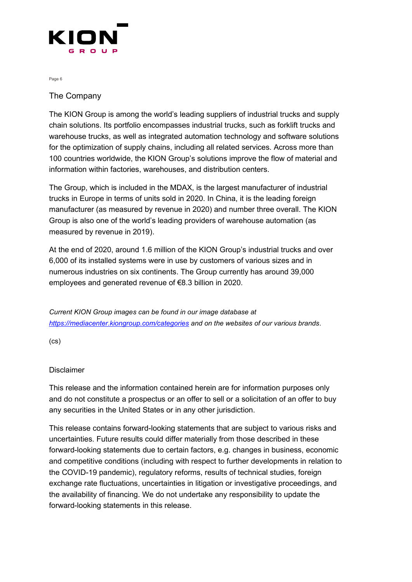

## The Company

The KION Group is among the world's leading suppliers of industrial trucks and supply chain solutions. Its portfolio encompasses industrial trucks, such as forklift trucks and warehouse trucks, as well as integrated automation technology and software solutions for the optimization of supply chains, including all related services. Across more than 100 countries worldwide, the KION Group's solutions improve the flow of material and information within factories, warehouses, and distribution centers.

The Group, which is included in the MDAX, is the largest manufacturer of industrial trucks in Europe in terms of units sold in 2020. In China, it is the leading foreign manufacturer (as measured by revenue in 2020) and number three overall. The KION Group is also one of the world's leading providers of warehouse automation (as measured by revenue in 2019).

At the end of 2020, around 1.6 million of the KION Group's industrial trucks and over 6,000 of its installed systems were in use by customers of various sizes and in numerous industries on six continents. The Group currently has around 39,000 employees and generated revenue of €8.3 billion in 2020.

*Current KION Group images can be found in our image database at <https://mediacenter.kiongroup.com/categories> and on the websites of our various brands*.

(cs)

#### Disclaimer

This release and the information contained herein are for information purposes only and do not constitute a prospectus or an offer to sell or a solicitation of an offer to buy any securities in the United States or in any other jurisdiction.

This release contains forward-looking statements that are subject to various risks and uncertainties. Future results could differ materially from those described in these forward-looking statements due to certain factors, e.g. changes in business, economic and competitive conditions (including with respect to further developments in relation to the COVID-19 pandemic), regulatory reforms, results of technical studies, foreign exchange rate fluctuations, uncertainties in litigation or investigative proceedings, and the availability of financing. We do not undertake any responsibility to update the forward-looking statements in this release.